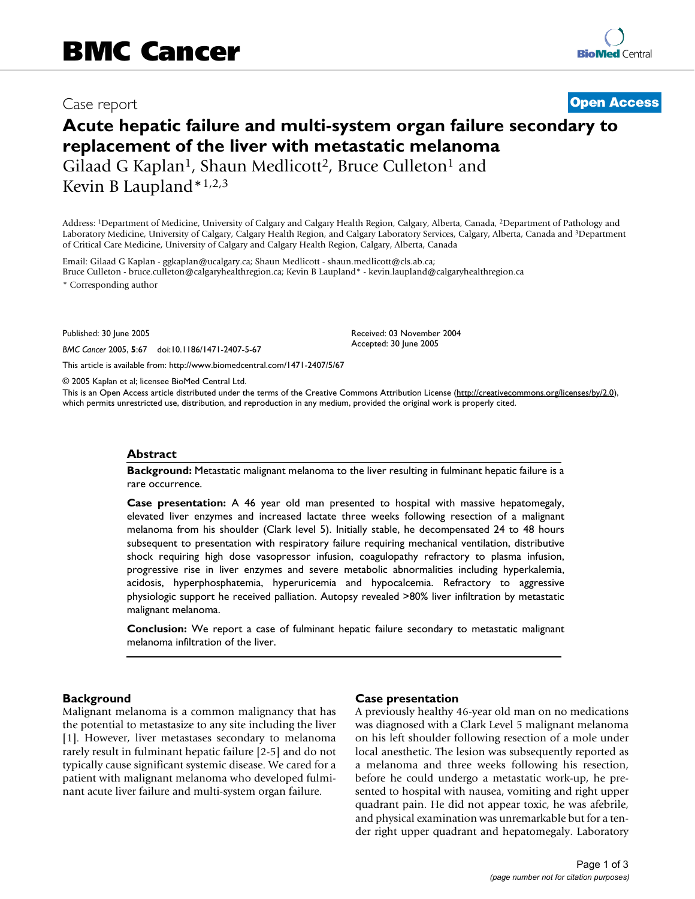## Case report **[Open Access](http://www.biomedcentral.com/info/about/charter/)**

# **Acute hepatic failure and multi-system organ failure secondary to replacement of the liver with metastatic melanoma** Gilaad G Kaplan<sup>1</sup>, Shaun Medlicott<sup>2</sup>, Bruce Culleton<sup>1</sup> and

Kevin B Laupland\*1,2,3

Address: 1Department of Medicine, University of Calgary and Calgary Health Region, Calgary, Alberta, Canada, 2Department of Pathology and Laboratory Medicine, University of Calgary, Calgary Health Region, and Calgary Laboratory Services, Calgary, Alberta, Canada and 3Department of Critical Care Medicine, University of Calgary and Calgary Health Region, Calgary, Alberta, Canada

Email: Gilaad G Kaplan - ggkaplan@ucalgary.ca; Shaun Medlicott - shaun.medlicott@cls.ab.ca; Bruce Culleton - bruce.culleton@calgaryhealthregion.ca; Kevin B Laupland\* - kevin.laupland@calgaryhealthregion.ca

\* Corresponding author

Published: 30 June 2005

*BMC Cancer* 2005, **5**:67 doi:10.1186/1471-2407-5-67

[This article is available from: http://www.biomedcentral.com/1471-2407/5/67](http://www.biomedcentral.com/1471-2407/5/67)

© 2005 Kaplan et al; licensee BioMed Central Ltd.

This is an Open Access article distributed under the terms of the Creative Commons Attribution License [\(http://creativecommons.org/licenses/by/2.0\)](http://creativecommons.org/licenses/by/2.0), which permits unrestricted use, distribution, and reproduction in any medium, provided the original work is properly cited.

#### **Abstract**

**Background:** Metastatic malignant melanoma to the liver resulting in fulminant hepatic failure is a rare occurrence.

**Case presentation:** A 46 year old man presented to hospital with massive hepatomegaly, elevated liver enzymes and increased lactate three weeks following resection of a malignant melanoma from his shoulder (Clark level 5). Initially stable, he decompensated 24 to 48 hours subsequent to presentation with respiratory failure requiring mechanical ventilation, distributive shock requiring high dose vasopressor infusion, coagulopathy refractory to plasma infusion, progressive rise in liver enzymes and severe metabolic abnormalities including hyperkalemia, acidosis, hyperphosphatemia, hyperuricemia and hypocalcemia. Refractory to aggressive physiologic support he received palliation. Autopsy revealed >80% liver infiltration by metastatic malignant melanoma.

**Conclusion:** We report a case of fulminant hepatic failure secondary to metastatic malignant melanoma infiltration of the liver.

#### **Background**

Malignant melanoma is a common malignancy that has the potential to metastasize to any site including the liver [1]. However, liver metastases secondary to melanoma rarely result in fulminant hepatic failure [2-5] and do not typically cause significant systemic disease. We cared for a patient with malignant melanoma who developed fulminant acute liver failure and multi-system organ failure.

#### **Case presentation**

Received: 03 November 2004 Accepted: 30 June 2005

A previously healthy 46-year old man on no medications was diagnosed with a Clark Level 5 malignant melanoma on his left shoulder following resection of a mole under local anesthetic. The lesion was subsequently reported as a melanoma and three weeks following his resection, before he could undergo a metastatic work-up, he presented to hospital with nausea, vomiting and right upper quadrant pain. He did not appear toxic, he was afebrile, and physical examination was unremarkable but for a tender right upper quadrant and hepatomegaly. Laboratory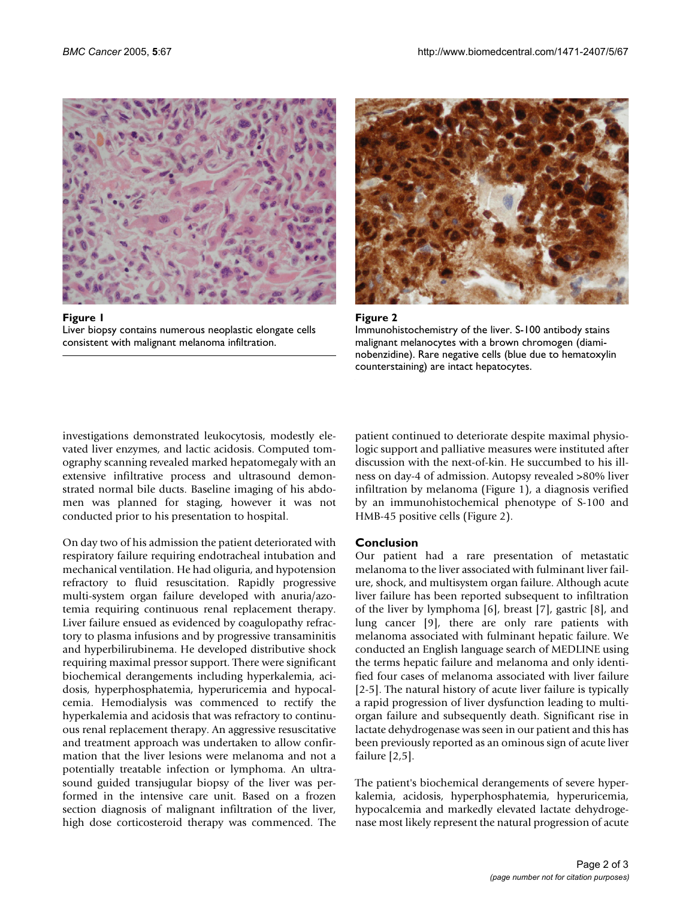

Figure 1 Liver biopsy contains numerous neoplastic elongate cells consistent with malignant melanoma infiltration.





investigations demonstrated leukocytosis, modestly elevated liver enzymes, and lactic acidosis. Computed tomography scanning revealed marked hepatomegaly with an extensive infiltrative process and ultrasound demonstrated normal bile ducts. Baseline imaging of his abdomen was planned for staging, however it was not conducted prior to his presentation to hospital.

On day two of his admission the patient deteriorated with respiratory failure requiring endotracheal intubation and mechanical ventilation. He had oliguria, and hypotension refractory to fluid resuscitation. Rapidly progressive multi-system organ failure developed with anuria/azotemia requiring continuous renal replacement therapy. Liver failure ensued as evidenced by coagulopathy refractory to plasma infusions and by progressive transaminitis and hyperbilirubinema. He developed distributive shock requiring maximal pressor support. There were significant biochemical derangements including hyperkalemia, acidosis, hyperphosphatemia, hyperuricemia and hypocalcemia. Hemodialysis was commenced to rectify the hyperkalemia and acidosis that was refractory to continuous renal replacement therapy. An aggressive resuscitative and treatment approach was undertaken to allow confirmation that the liver lesions were melanoma and not a potentially treatable infection or lymphoma. An ultrasound guided transjugular biopsy of the liver was performed in the intensive care unit. Based on a frozen section diagnosis of malignant infiltration of the liver, high dose corticosteroid therapy was commenced. The patient continued to deteriorate despite maximal physiologic support and palliative measures were instituted after discussion with the next-of-kin. He succumbed to his illness on day-4 of admission. Autopsy revealed >80% liver infiltration by melanoma (Figure 1), a diagnosis verified by an immunohistochemical phenotype of S-100 and HMB-45 positive cells (Figure 2).

### **Conclusion**

Our patient had a rare presentation of metastatic melanoma to the liver associated with fulminant liver failure, shock, and multisystem organ failure. Although acute liver failure has been reported subsequent to infiltration of the liver by lymphoma [6], breast [7], gastric [8], and lung cancer [9], there are only rare patients with melanoma associated with fulminant hepatic failure. We conducted an English language search of MEDLINE using the terms hepatic failure and melanoma and only identified four cases of melanoma associated with liver failure [2-5]. The natural history of acute liver failure is typically a rapid progression of liver dysfunction leading to multiorgan failure and subsequently death. Significant rise in lactate dehydrogenase was seen in our patient and this has been previously reported as an ominous sign of acute liver failure [2,5].

The patient's biochemical derangements of severe hyperkalemia, acidosis, hyperphosphatemia, hyperuricemia, hypocalcemia and markedly elevated lactate dehydrogenase most likely represent the natural progression of acute